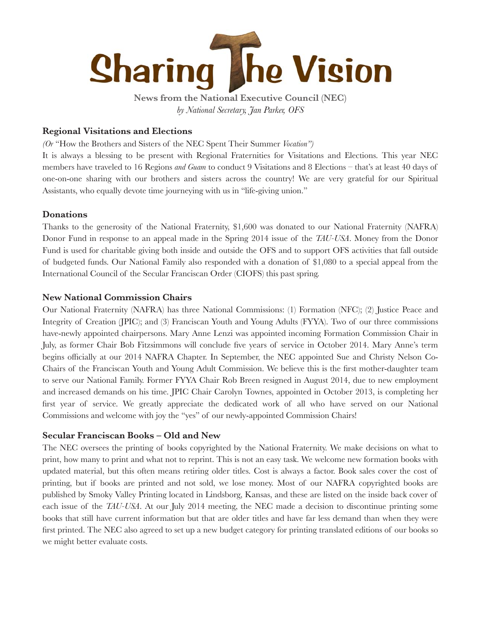

 **News from the National Executive Council (NEC)***by National Secretary, Jan Parker, OFS*

## **Regional Visitations and Elections**

*(Or* "How the Brothers and Sisters of the NEC Spent Their Summer *Vocation")* 

It is always a blessing to be present with Regional Fraternities for Visitations and Elections. This year NEC members have traveled to 16 Regions *and Guam* to conduct 9 Visitations and 8 Elections – that's at least 40 days of one-on-one sharing with our brothers and sisters across the country! We are very grateful for our Spiritual Assistants, who equally devote time journeying with us in "life-giving union."

## **Donations**

Thanks to the generosity of the National Fraternity, \$1,600 was donated to our National Fraternity (NAFRA) Donor Fund in response to an appeal made in the Spring 2014 issue of the *TAU-USA*. Money from the Donor Fund is used for charitable giving both inside and outside the OFS and to support OFS activities that fall outside of budgeted funds. Our National Family also responded with a donation of \$1,080 to a special appeal from the International Council of the Secular Franciscan Order (CIOFS) this past spring.

## **New National Commission Chairs**

Our National Fraternity (NAFRA) has three National Commissions: (1) Formation (NFC); (2) Justice Peace and Integrity of Creation (JPIC); and (3) Franciscan Youth and Young Adults (FYYA). Two of our three commissions have-newly appointed chairpersons. Mary Anne Lenzi was appointed incoming Formation Commission Chair in July, as former Chair Bob Fitzsimmons will conclude five years of service in October 2014. Mary Anne's term begins officially at our 2014 NAFRA Chapter. In September, the NEC appointed Sue and Christy Nelson Co-Chairs of the Franciscan Youth and Young Adult Commission. We believe this is the first mother-daughter team to serve our National Family. Former FYYA Chair Rob Breen resigned in August 2014, due to new employment and increased demands on his time. JPIC Chair Carolyn Townes, appointed in October 2013, is completing her first year of service. We greatly appreciate the dedicated work of all who have served on our National Commissions and welcome with joy the "yes" of our newly-appointed Commission Chairs!

## **Secular Franciscan Books – Old and New**

The NEC oversees the printing of books copyrighted by the National Fraternity. We make decisions on what to print, how many to print and what not to reprint. This is not an easy task. We welcome new formation books with updated material, but this often means retiring older titles. Cost is always a factor. Book sales cover the cost of printing, but if books are printed and not sold, we lose money. Most of our NAFRA copyrighted books are published by Smoky Valley Printing located in Lindsborg, Kansas, and these are listed on the inside back cover of each issue of the *TAU-USA*. At our July 2014 meeting, the NEC made a decision to discontinue printing some books that still have current information but that are older titles and have far less demand than when they were first printed. The NEC also agreed to set up a new budget category for printing translated editions of our books so we might better evaluate costs.